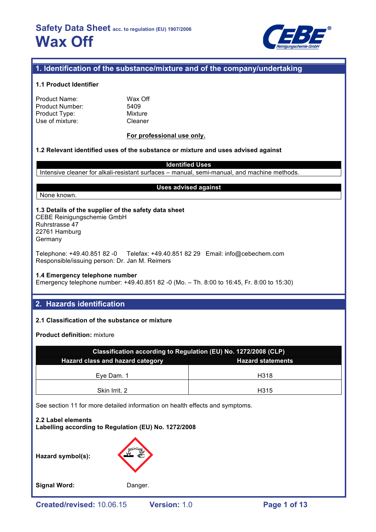

# **1. Identification of the substance/mixture and of the company/undertaking**

## **1.1 Product Identifier**

| Product Name:   |  |
|-----------------|--|
| Product Number: |  |
| Product Type:   |  |
| Use of mixture: |  |

Wax Off 5409 **Mixture** Cleaner

## **For professional use only.**

## **1.2 Relevant identified uses of the substance or mixture and uses advised against**

**Identified Uses** Intensive cleaner for alkali-resistant surfaces – manual, semi-manual, and machine methods.

None known.

## **Uses advised against**

# **1.3 Details of the supplier of the safety data sheet** CEBE Reinigungschemie GmbH

Ruhrstrasse 47 22761 Hamburg Germany

Telephone: +49.40.851 82 -0 Telefax: +49.40.851 82 29 Email: info@cebechem.com Responsible/issuing person: Dr. Jan M. Reimers

### **1.4 Emergency telephone number**

Emergency telephone number: +49.40.851 82 -0 (Mo. – Th. 8:00 to 16:45, Fr. 8:00 to 15:30)

# **2. Hazards identification**

## **2.1 Classification of the substance or mixture**

**Product definition:** mixture

| Classification according to Regulation (EU) No. 1272/2008 (CLP) |                   |  |  |  |
|-----------------------------------------------------------------|-------------------|--|--|--|
| Hazard class and hazard category<br><b>Hazard statements</b>    |                   |  |  |  |
| Eye Dam. 1                                                      | H <sub>3</sub> 18 |  |  |  |
| Skin Irrit. 2                                                   | H315              |  |  |  |

See section 11 for more detailed information on health effects and symptoms.

**2.2 Label elements Labelling according to Regulation (EU) No. 1272/2008**

**Hazard symbol(s):**

Signal Word: Danger.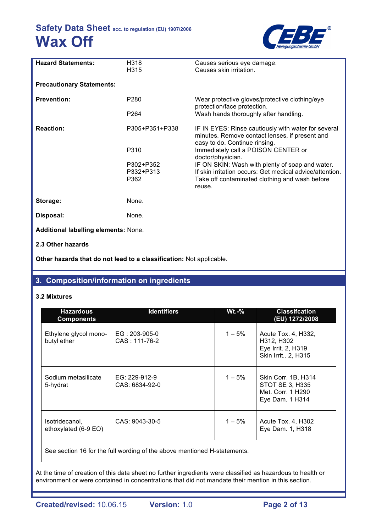

| <b>Hazard Statements:</b>            | H318<br>H315     | Causes serious eye damage.<br>Causes skin irritation.                                                                                  |
|--------------------------------------|------------------|----------------------------------------------------------------------------------------------------------------------------------------|
| <b>Precautionary Statements:</b>     |                  |                                                                                                                                        |
| <b>Prevention:</b>                   | P <sub>280</sub> | Wear protective gloves/protective clothing/eye<br>protection/face protection.                                                          |
|                                      | P <sub>264</sub> | Wash hands thoroughly after handling.                                                                                                  |
| <b>Reaction:</b>                     | P305+P351+P338   | IF IN EYES: Rinse cautiously with water for several<br>minutes. Remove contact lenses, if present and<br>easy to do. Continue rinsing. |
|                                      | P310             | Immediately call a POISON CENTER or<br>doctor/physician.                                                                               |
|                                      | P302+P352        | IF ON SKIN: Wash with plenty of soap and water.                                                                                        |
|                                      | P332+P313        | If skin irritation occurs: Get medical advice/attention.                                                                               |
|                                      | P362             | Take off contaminated clothing and wash before<br>reuse.                                                                               |
| Storage:                             | None.            |                                                                                                                                        |
| Disposal:                            | None.            |                                                                                                                                        |
| Additional labelling elements: None. |                  |                                                                                                                                        |
| 2.3 Other hazards                    |                  |                                                                                                                                        |

**Other hazards that do not lead to a classification:** Not applicable.

# **3. Composition/information on ingredients**

## **3.2 Mixtures**

| <b>Hazardous</b><br><b>Components</b>  | <b>Identifiers</b>                 | <b>Wt.-%</b> | <b>Classifcation</b><br>(EU) 1272/2008                                                |
|----------------------------------------|------------------------------------|--------------|---------------------------------------------------------------------------------------|
| Ethylene glycol mono-<br>butyl ether   | $EG: 203-905-0$<br>$CAS: 111-76-2$ | $1 - 5\%$    | Acute Tox. 4, H332,<br>H312, H302<br>Eye Irrit. 2, H319<br>Skin Irrit 2, H315         |
| Sodium metasilicate<br>5-hydrat        | EG: 229-912-9<br>CAS: 6834-92-0    | $1 - 5%$     | Skin Corr. 1B, H314<br><b>STOT SE 3, H335</b><br>Met. Corr. 1 H290<br>Eye Dam. 1 H314 |
| Isotridecanol,<br>ethoxylated (6-9 EO) | CAS: 9043-30-5                     | $1 - 5\%$    | Acute Tox. 4, H302<br>Eye Dam. 1, H318                                                |

See section 16 for the full wording of the above mentioned H-statements.

At the time of creation of this data sheet no further ingredients were classified as hazardous to health or environment or were contained in concentrations that did not mandate their mention in this section.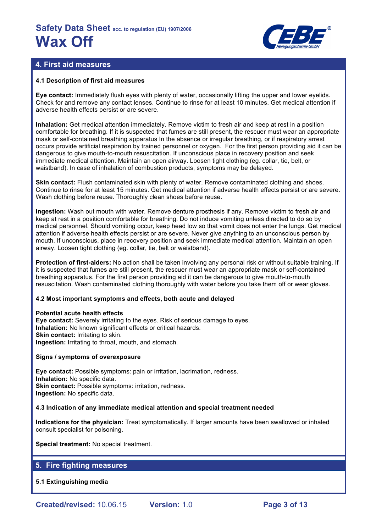

# **4. First aid measures**

## **4.1 Description of first aid measures**

**Eye contact:** Immediately flush eyes with plenty of water, occasionally lifting the upper and lower eyelids. Check for and remove any contact lenses. Continue to rinse for at least 10 minutes. Get medical attention if adverse health effects persist or are severe.

**Inhalation:** Get medical attention immediately. Remove victim to fresh air and keep at rest in a position comfortable for breathing. If it is suspected that fumes are still present, the rescuer must wear an appropriate mask or self-contained breathing apparatus In the absence or irregular breathing, or if respiratory arrest occurs provide artificial respiration by trained personnel or oxygen. For the first person providing aid it can be dangerous to give mouth-to-mouth resuscitation. If unconscious place in recovery position and seek immediate medical attention. Maintain an open airway. Loosen tight clothing (eg. collar, tie, belt, or waistband). In case of inhalation of combustion products, symptoms may be delayed.

**Skin contact:** Flush contaminated skin with plenty of water. Remove contaminated clothing and shoes. Continue to rinse for at least 15 minutes. Get medical attention if adverse health effects persist or are severe. Wash clothing before reuse. Thoroughly clean shoes before reuse.

**Ingestion:** Wash out mouth with water. Remove denture prosthesis if any. Remove victim to fresh air and keep at rest in a position comfortable for breathing. Do not induce vomiting unless directed to do so by medical personnel. Should vomiting occur, keep head low so that vomit does not enter the lungs. Get medical attention if adverse health effects persist or are severe. Never give anything to an unconscious person by mouth. If unconscious, place in recovery position and seek immediate medical attention. Maintain an open airway. Loosen tight clothing (eg. collar, tie, belt or waistband).

**Protection of first-aiders:** No action shall be taken involving any personal risk or without suitable training. If it is suspected that fumes are still present, the rescuer must wear an appropriate mask or self-contained breathing apparatus. For the first person providing aid it can be dangerous to give mouth-to-mouth resuscitation. Wash contaminated clothing thoroughly with water before you take them off or wear gloves.

## **4.2 Most important symptoms and effects, both acute and delayed**

### **Potential acute health effects**

**Eye contact:** Severely irritating to the eyes. Risk of serious damage to eyes. **Inhalation:** No known significant effects or critical hazards. **Skin contact: Irritating to skin. Ingestion:** Irritating to throat, mouth, and stomach.

### **Signs / symptoms of overexposure**

**Eye contact:** Possible symptoms: pain or irritation, lacrimation, redness. **Inhalation:** No specific data. **Skin contact:** Possible symptoms: irritation, redness. **Ingestion:** No specific data.

### **4.3 Indication of any immediate medical attention and special treatment needed**

**Indications for the physician:** Treat symptomatically. If larger amounts have been swallowed or inhaled consult specialist for poisoning.

**Special treatment:** No special treatment.

# **5. Fire fighting measures**

## **5.1 Extinguishing media**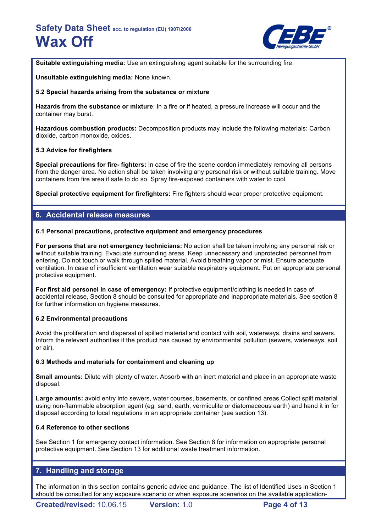

**Suitable extinguishing media:** Use an extinguishing agent suitable for the surrounding fire.

**Unsuitable extinguishing media:** None known.

## **5.2 Special hazards arising from the substance or mixture**

**Hazards from the substance or mixture**: In a fire or if heated, a pressure increase will occur and the container may burst.

**Hazardous combustion products:** Decomposition products may include the following materials: Carbon dioxide, carbon monoxide, oxides.

## **5.3 Advice for firefighters**

**Special precautions for fire- fighters:** In case of fire the scene cordon immediately removing all persons from the danger area. No action shall be taken involving any personal risk or without suitable training. Move containers from fire area if safe to do so. Spray fire-exposed containers with water to cool.

**Special protective equipment for firefighters:** Fire fighters should wear proper protective equipment.

# **6. Accidental release measures**

## **6.1 Personal precautions, protective equipment and emergency procedures**

**For persons that are not emergency technicians:** No action shall be taken involving any personal risk or without suitable training. Evacuate surrounding areas. Keep unnecessary and unprotected personnel from entering. Do not touch or walk through spilled material. Avoid breathing vapor or mist. Ensure adequate ventilation. In case of insufficient ventilation wear suitable respiratory equipment. Put on appropriate personal protective equipment.

**For first aid personel in case of emergency:** If protective equipment/clothing is needed in case of accidental release, Section 8 should be consulted for appropriate and inappropriate materials. See section 8 for further information on hygiene measures.

### **6.2 Environmental precautions**

Avoid the proliferation and dispersal of spilled material and contact with soil, waterways, drains and sewers. Inform the relevant authorities if the product has caused by environmental pollution (sewers, waterways, soil or air).

### **6.3 Methods and materials for containment and cleaning up**

**Small amounts:** Dilute with plenty of water. Absorb with an inert material and place in an appropriate waste disposal.

**Large amounts:** avoid entry into sewers, water courses, basements, or confined areas.Collect spilt material using non-flammable absorption agent (eg. sand, earth, vermiculite or diatomaceous earth) and hand it in for disposal according to local regulations in an appropriate container (see section 13).

### **6.4 Reference to other sections**

See Section 1 for emergency contact information. See Section 8 for information on appropriate personal protective equipment. See Section 13 for additional waste treatment information.

# **7. Handling and storage**

The information in this section contains generic advice and guidance. The list of Identified Uses in Section 1 should be consulted for any exposure scenario or when exposure scenarios on the available application-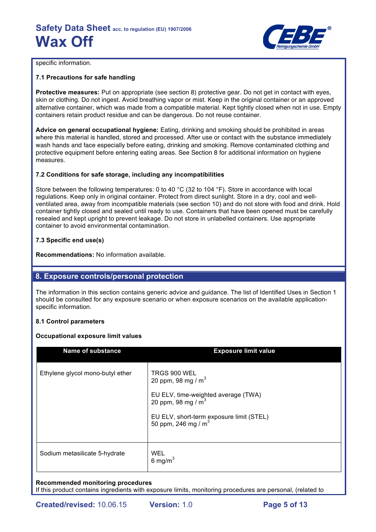

specific information.

## **7.1 Precautions for safe handling**

**Protective measures:** Put on appropriate (see section 8) protective gear. Do not get in contact with eyes, skin or clothing. Do not ingest. Avoid breathing vapor or mist. Keep in the original container or an approved alternative container, which was made from a compatible material. Kept tightly closed when not in use. Empty containers retain product residue and can be dangerous. Do not reuse container.

**Advice on general occupational hygiene:** Eating, drinking and smoking should be prohibited in areas where this material is handled, stored and processed. After use or contact with the substance immediately wash hands and face especially before eating, drinking and smoking. Remove contaminated clothing and protective equipment before entering eating areas. See Section 8 for additional information on hygiene measures.

## **7.2 Conditions for safe storage, including any incompatibilities**

Store between the following temperatures: 0 to 40 °C (32 to 104 °F). Store in accordance with local regulations. Keep only in original container. Protect from direct sunlight. Store in a dry, cool and wellventilated area, away from incompatible materials (see section 10) and do not store with food and drink. Hold container tightly closed and sealed until ready to use. Containers that have been opened must be carefully resealed and kept upright to prevent leakage. Do not store in unlabelled containers. Use appropriate container to avoid environmental contamination.

# **7.3 Specific end use(s)**

**Recommendations:** No information available.

# **8. Exposure controls/personal protection**

The information in this section contains generic advice and guidance. The list of Identified Uses in Section 1 should be consulted for any exposure scenario or when exposure scenarios on the available applicationspecific information.

## **8.1 Control parameters**

## **Occupational exposure limit values**

| <b>Name of substance</b>         | <b>Exposure limit value</b>                                                                                                                                               |
|----------------------------------|---------------------------------------------------------------------------------------------------------------------------------------------------------------------------|
| Ethylene glycol mono-butyl ether | TRGS 900 WEL<br>20 ppm, 98 mg / $m3$<br>EU ELV, time-weighted average (TWA)<br>20 ppm, 98 mg / $m3$<br>EU ELV, short-term exposure limit (STEL)<br>50 ppm, 246 mg / $m^3$ |
| Sodium metasilicate 5-hydrate    | WEL<br>6 mg/m $3$                                                                                                                                                         |

## **Recommended monitoring procedures**

If this product contains ingredients with exposure limits, monitoring procedures are personal, (related to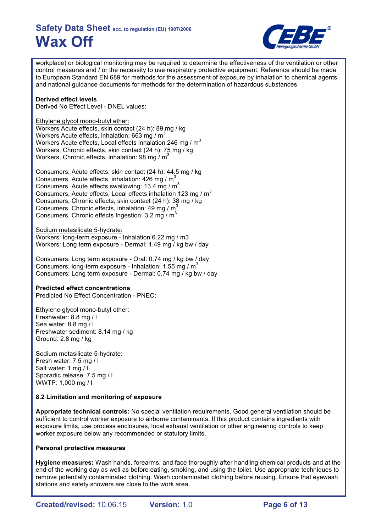

workplace) or biological monitoring may be required to determine the effectiveness of the ventilation or other control measures and / or the necessity to use respiratory protective equipment. Reference should be made to European Standard EN 689 for methods for the assessment of exposure by inhalation to chemical agents and national guidance documents for methods for the determination of hazardous substances

## **Derived effect levels**

Derived No Effect Level - DNEL values:

Ethylene glycol mono-butyl ether:

Workers Acute effects, skin contact (24 h): 89 mg / kg Workers Acute effects, inhalation:  $663$  mg / m<sup>3</sup> Workers Acute effects, Local effects inhalation 246 mg /  $m<sup>3</sup>$ Workers, Chronic effects, skin contact (24 h): 75 mg / kg Workers, Chronic effects, inhalation: 98 mg /  $m<sup>3</sup>$ 

Consumers, Acute effects, skin contact (24 h): 44.5 mg / kg Consumers, Acute effects, inhalation:  $426$  mg / m<sup>3</sup> Consumers, Acute effects swallowing: 13.4 mg / m<sup>3</sup> Consumers, Acute effects, Local effects inhalation 123 mg /  $m<sup>3</sup>$ Consumers, Chronic effects, skin contact (24 h): 38 mg / kg Consumers, Chronic effects, inhalation: 49 mg /  $m<sup>3</sup>$ Consumers, Chronic effects Ingestion: 3.2 mg /  $m<sup>3</sup>$ 

Sodium metasilicate 5-hydrate:

Workers: long-term exposure - Inhalation 6.22 mg / m3 Workers: Long term exposure - Dermal: 1.49 mg / kg bw / day

Consumers: Long term exposure - Oral: 0.74 mg / kg bw / day Consumers: long-term exposure - Inhalation: 1.55 mg /  $m<sup>3</sup>$ Consumers: Long term exposure - Dermal: 0.74 mg / kg bw / day

## **Predicted effect concentrations**

Predicted No Effect Concentration - PNEC:

Ethylene glycol mono-butyl ether: Freshwater: 8.8 mg / l Sea water: 8.8 mg / l Freshwater sediment: 8.14 mg / kg Ground: 2.8 mg / kg

Sodium metasilicate 5-hydrate: Fresh water: 7.5 mg / l Salt water: 1 mg / l Sporadic release: 7.5 mg / l WWTP: 1,000 mg / l

## **8.2 Limitation and monitoring of exposure**

**Appropriate technical controls:** No special ventilation requirements. Good general ventilation should be sufficient to control worker exposure to airborne contaminants. If this product contains ingredients with exposure limits, use process enclosures, local exhaust ventilation or other engineering controls to keep worker exposure below any recommended or statutory limits.

### **Personal protective measures**

**Hygiene measures:** Wash hands, forearms, and face thoroughly after handling chemical products and at the end of the working day as well as before eating, smoking, and using the toilet. Use appropriate techniques to remove potentially contaminated clothing. Wash contaminated clothing before reusing. Ensure that eyewash stations and safety showers are close to the work area.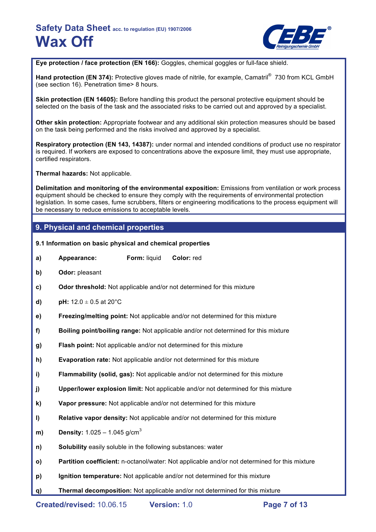

**Eye protection / face protection (EN 166):** Goggles, chemical goggles or full-face shield.

Hand protection (EN 374): Protective gloves made of nitrile, for example, Camatril<sup>®</sup> 730 from KCL GmbH (see section 16). Penetration time> 8 hours.

**Skin protection (EN 14605):** Before handling this product the personal protective equipment should be selected on the basis of the task and the associated risks to be carried out and approved by a specialist.

**Other skin protection:** Appropriate footwear and any additional skin protection measures should be based on the task being performed and the risks involved and approved by a specialist.

**Respiratory protection (EN 143, 14387):** under normal and intended conditions of product use no respirator is required. If workers are exposed to concentrations above the exposure limit, they must use appropriate, certified respirators.

**Thermal hazards:** Not applicable.

**Delimitation and monitoring of the environmental exposition:** Emissions from ventilation or work process equipment should be checked to ensure they comply with the requirements of environmental protection legislation. In some cases, fume scrubbers, filters or engineering modifications to the process equipment will be necessary to reduce emissions to acceptable levels.

# **9. Physical and chemical properties**

- **9.1 Information on basic physical and chemical properties**
- **a) Appearance: Form:** liquid **Color:** red
- **b) Odor:** pleasant
- **c) Odor threshold:** Not applicable and/or not determined for this mixture
- **d) pH:**  $12.0 \pm 0.5$  at  $20^{\circ}$ C
- **e) Freezing/melting point:** Not applicable and/or not determined for this mixture
- **f) Boiling point/boiling range:** Not applicable and/or not determined for this mixture
- **g) Flash point:** Not applicable and/or not determined for this mixture
- **h) Evaporation rate:** Not applicable and/or not determined for this mixture
- **i) Flammability (solid, gas):** Not applicable and/or not determined for this mixture
- **j) Upper/lower explosion limit:** Not applicable and/or not determined for this mixture
- **k) Vapor pressure:** Not applicable and/or not determined for this mixture
- **l) Relative vapor density:** Not applicable and/or not determined for this mixture
- **m) Density:**  $1.025 1.045$  g/cm<sup>3</sup>
- **n) Solubility** easily soluble in the following substances: water
- **o) Partition coefficient:** n-octanol/water: Not applicable and/or not determined for this mixture
- **p) Ignition temperature:** Not applicable and/or not determined for this mixture
- **q) Thermal decomposition:** Not applicable and/or not determined for this mixture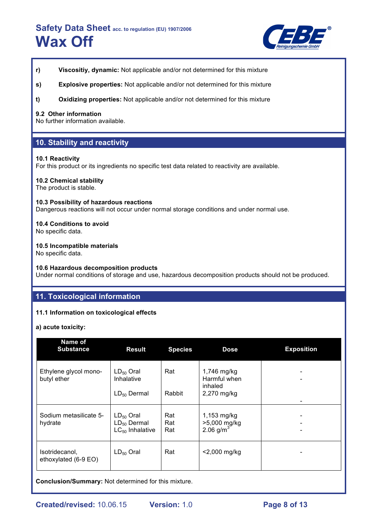

- **r) Viscositiy, dynamic:** Not applicable and/or not determined for this mixture
- **s) Explosive properties:** Not applicable and/or not determined for this mixture
- **t) Oxidizing properties:** Not applicable and/or not determined for this mixture

## **9.2 Other information**

No further information available.

# **10. Stability and reactivity**

## **10.1 Reactivity**

For this product or its ingredients no specific test data related to reactivity are available.

## **10.2 Chemical stability**

The product is stable.

### **10.3 Possibility of hazardous reactions**

Dangerous reactions will not occur under normal storage conditions and under normal use.

## **10.4 Conditions to avoid**

No specific data.

## **10.5 Incompatible materials**

No specific data.

## **10.6 Hazardous decomposition products**

Under normal conditions of storage and use, hazardous decomposition products should not be produced.

# **11. Toxicological information**

## **11.1 Information on toxicological effects**

**a) acute toxicity:**

| Name of<br><b>Substance</b>            | <b>Result</b>                                              | <b>Species</b>    | <b>Dose</b>                                           | <b>Exposition</b> |
|----------------------------------------|------------------------------------------------------------|-------------------|-------------------------------------------------------|-------------------|
| Ethylene glycol mono-<br>butyl ether   | $LD_{50}$ Oral<br>Inhalative<br>$LD_{50}$ Dermal           | Rat<br>Rabbit     | 1,746 mg/kg<br>Harmful when<br>inhaled<br>2,270 mg/kg |                   |
| Sodium metasilicate 5-<br>hydrate      | $LD_{50}$ Oral<br>$LD_{50}$ Dermal<br>$LC_{50}$ Inhalative | Rat<br>Rat<br>Rat | $1,153$ mg/kg<br>>5,000 mg/kg<br>2.06 $g/m^3$         |                   |
| Isotridecanol,<br>ethoxylated (6-9 EO) | $LD_{50}$ Oral                                             | Rat               | $<$ 2,000 mg/kg                                       |                   |

**Conclusion/Summary:** Not determined for this mixture.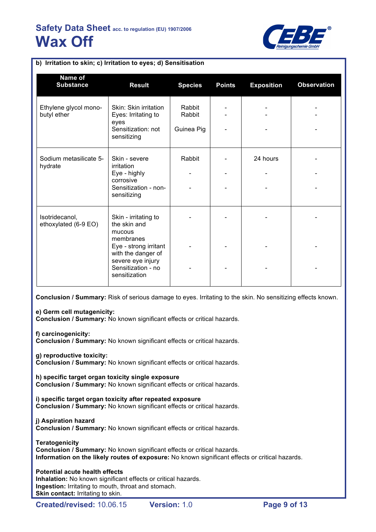

| Name of<br><b>Substance</b>            | <b>Result</b>                                                                                                                                                          | <b>Species</b>                 | <b>Points</b> | <b>Exposition</b> | <b>Observation</b> |
|----------------------------------------|------------------------------------------------------------------------------------------------------------------------------------------------------------------------|--------------------------------|---------------|-------------------|--------------------|
| Ethylene glycol mono-<br>butyl ether   | Skin: Skin irritation<br>Eyes: Irritating to<br>eyes<br>Sensitization: not<br>sensitizing                                                                              | Rabbit<br>Rabbit<br>Guinea Pig |               |                   |                    |
| Sodium metasilicate 5-<br>hydrate      | Skin - severe<br>irritation<br>Eye - highly<br>corrosive<br>Sensitization - non-<br>sensitizing                                                                        | Rabbit                         |               | 24 hours          |                    |
| Isotridecanol,<br>ethoxylated (6-9 EO) | Skin - irritating to<br>the skin and<br>mucous<br>membranes<br>Eye - strong irritant<br>with the danger of<br>severe eye injury<br>Sensitization - no<br>sensitization |                                |               |                   |                    |

**b) Irritation to skin; c) Irritation to eyes; d) Sensitisation**

**Conclusion / Summary:** Risk of serious damage to eyes. Irritating to the skin. No sensitizing effects known.

### **e) Germ cell mutagenicity:**

**Conclusion / Summary:** No known significant effects or critical hazards.

### **f) carcinogenicity:**

**Conclusion / Summary:** No known significant effects or critical hazards.

## **g) reproductive toxicity:**

**Conclusion / Summary:** No known significant effects or critical hazards.

**h) specific target organ toxicity single exposure Conclusion / Summary:** No known significant effects or critical hazards.

**i) specific target organ toxicity after repeated exposure Conclusion / Summary:** No known significant effects or critical hazards.

## **j) Aspiration hazard**

**Conclusion / Summary:** No known significant effects or critical hazards.

**Teratogenicity**

**Conclusion / Summary:** No known significant effects or critical hazards. **Information on the likely routes of exposure:** No known significant effects or critical hazards.

### **Potential acute health effects**

**Inhalation:** No known significant effects or critical hazards. **Ingestion:** Irritating to mouth, throat and stomach. **Skin contact: Irritating to skin.**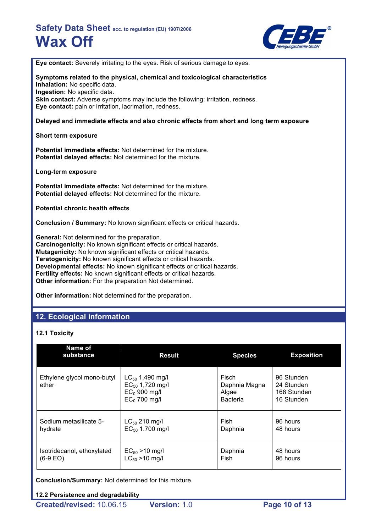

**Eye contact:** Severely irritating to the eyes. Risk of serious damage to eyes.

**Symptoms related to the physical, chemical and toxicological characteristics Inhalation:** No specific data. **Ingestion:** No specific data. **Skin contact:** Adverse symptoms may include the following: irritation, redness. **Eye contact:** pain or irritation, lacrimation, redness.

## **Delayed and immediate effects and also chronic effects from short and long term exposure**

## **Short term exposure**

**Potential immediate effects:** Not determined for the mixture. **Potential delayed effects:** Not determined for the mixture.

**Long-term exposure**

**Potential immediate effects:** Not determined for the mixture. **Potential delayed effects:** Not determined for the mixture.

**Potential chronic health effects**

**Conclusion / Summary:** No known significant effects or critical hazards.

**General:** Not determined for the preparation. **Carcinogenicity:** No known significant effects or critical hazards. **Mutagenicity:** No known significant effects or critical hazards. **Teratogenicity:** No known significant effects or critical hazards. **Developmental effects:** No known significant effects or critical hazards. **Fertility effects:** No known significant effects or critical hazards. **Other information:** For the preparation Not determined.

**Other information:** Not determined for the preparation.

# **12. Ecological information**

## **12.1 Toxicity**

| Name of<br>substance                | <b>Result</b>                                                                    | <b>Species</b>                                            | <b>Exposition</b>                                     |
|-------------------------------------|----------------------------------------------------------------------------------|-----------------------------------------------------------|-------------------------------------------------------|
| Ethylene glycol mono-butyl<br>ether | $LC_{50}$ 1,490 mg/l<br>$EC_{50}$ 1,720 mg/l<br>$EC0$ 900 mg/l<br>$EC0$ 700 mg/l | <b>Fisch</b><br>Daphnia Magna<br>Algae<br><b>Bacteria</b> | 96 Stunden<br>24 Stunden<br>168 Stunden<br>16 Stunden |
| Sodium metasilicate 5-              | $LC_{50}$ 210 mg/l                                                               | Fish                                                      | 96 hours                                              |
| hydrate                             | $EC_{50}$ 1.700 mg/l                                                             | Daphnia                                                   | 48 hours                                              |
| Isotridecanol, ethoxylated          | $EC_{50}$ > 10 mg/l                                                              | Daphnia                                                   | 48 hours                                              |
| $(6-9)$ EO)                         | $LC_{50} > 10$ mg/l                                                              | Fish                                                      | 96 hours                                              |

**Conclusion/Summary:** Not determined for this mixture.

## **12.2 Persistence and degradability**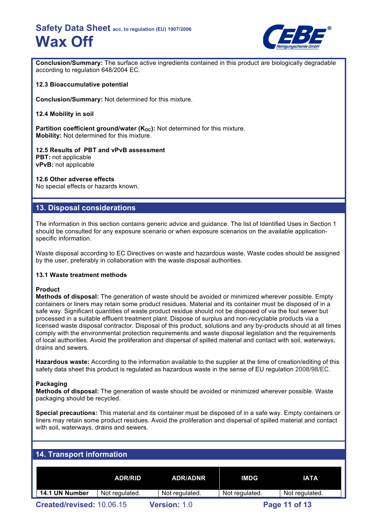

**Conclusion/Summary:** The surface active ingredients contained in this product are biologically degradable according to regulation 648/2004 EC.

## **12.3 Bioaccumulative potential**

**Conclusion/Summary:** Not determined for this mixture.

**12.4 Mobility in soil**

**Partition coefficient ground/water (K<sub>OC</sub>):** Not determined for this mixture. **Mobility:** Not determined for this mixture.

**12.5 Results of PBT and vPvB assessment PBT:** not applicable **vPvB:** not applicable

## **12.6 Other adverse effects**

No special effects or hazards known.

# **13. Disposal considerations**

The information in this section contains generic advice and guidance. The list of Identified Uses in Section 1 should be consulted for any exposure scenario or when exposure scenarios on the available applicationspecific information.

Waste disposal according to EC Directives on waste and hazardous waste. Waste codes should be assigned by the user, preferably in collaboration with the waste disposal authorities.

### **13.1 Waste treatment methods**

### **Product**

**Methods of disposal:** The generation of waste should be avoided or minimized wherever possible. Empty containers or liners may retain some product residues. Material and its container must be disposed of in a safe way. Significant quantities of waste product residue should not be disposed of via the foul sewer but processed in a suitable effluent treatment plant. Dispose of surplus and non-recyclable products via a licensed waste disposal contractor. Disposal of this product, solutions and any by-products should at all times comply with the environmental protection requirements and waste disposal legislation and the requirements of local authorities. Avoid the proliferation and dispersal of spilled material and contact with soil, waterways, drains and sewers.

**Hazardous waste:** According to the information available to the supplier at the time of creation/editing of this safety data sheet this product is regulated as hazardous waste in the sense of EU regulation 2008/98/EC.

### **Packaging**

**Methods of disposal:** The generation of waste should be avoided or minimized wherever possible. Waste packaging should be recycled.

**Special precautions:** This material and its container must be disposed of in a safe way. Empty containers or liners may retain some product residues. Avoid the proliferation and dispersal of spilled material and contact with soil, waterways, drains and sewers.

# **14. Transport information**

|                           | <b>ADR/RID</b> | <b>ADR/ADNR</b>     | IMDG           | <b>IATA</b>    |
|---------------------------|----------------|---------------------|----------------|----------------|
| 14.1 UN Number            | Not regulated. | Not regulated.      | Not regulated. | Not regulated. |
| Created/revised: 10.06.15 |                | <b>Version: 1.0</b> |                | Page 11 of 13  |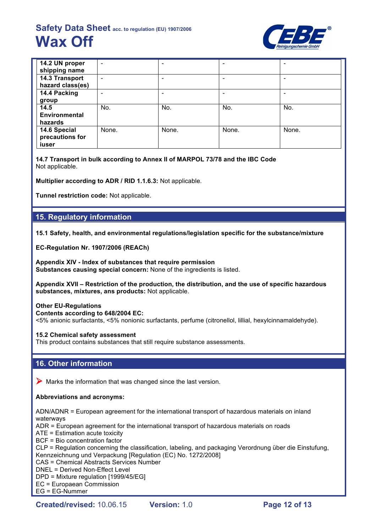

| 14.2 UN proper       | ۰                        |       |       | $\overline{\phantom{0}}$ |
|----------------------|--------------------------|-------|-------|--------------------------|
| shipping name        |                          |       |       |                          |
| 14.3 Transport       | $\overline{\phantom{0}}$ |       |       | $\overline{\phantom{a}}$ |
| hazard class(es)     |                          |       |       |                          |
| 14.4 Packing         |                          |       |       | ۰                        |
| group                |                          |       |       |                          |
| 14.5                 | No.                      | No.   | No.   | No.                      |
| <b>Environmental</b> |                          |       |       |                          |
| hazards              |                          |       |       |                          |
| 14.6 Special         | None.                    | None. | None. | None.                    |
| precautions for      |                          |       |       |                          |
| iuser                |                          |       |       |                          |

**14.7 Transport in bulk according to Annex II of MARPOL 73/78 and the IBC Code** Not applicable.

**Multiplier according to ADR / RID 1.1.6.3:** Not applicable.

**Tunnel restriction code:** Not applicable.

# **15. Regulatory information**

**15.1 Safety, health, and environmental regulations/legislation specific for the substance/mixture**

**EC-Regulation Nr. 1907/2006 (REACh)**

**Appendix XIV - Index of substances that require permission Substances causing special concern:** None of the ingredients is listed.

**Appendix XVII – Restriction of the production, the distribution, and the use of specific hazardous substances, mixtures, ans products:** Not applicable.

## **Other EU-Regulations**

**Contents according to 648/2004 EC:**

<5% anionic surfactants, <5% nonionic surfactants, perfume (citronellol, lillial, hexylcinnamaldehyde).

## **15.2 Chemical safety assessment**

This product contains substances that still require substance assessments.

# **16. Other information**

 $\triangleright$  Marks the information that was changed since the last version.

## **Abbreviations and acronyms:**

ADN/ADNR = European agreement for the international transport of hazardous materials on inland waterways

ADR = European agreement for the international transport of hazardous materials on roads

ATE = Estimation acute toxicity

BCF = Bio concentration factor

CLP = Regulation concerning the classification, labeling, and packaging Verordnung über die Einstufung, Kennzeichnung und Verpackung [Regulation (EC) No. 1272/2008]

CAS = Chemical Abstracts Services Number

DNEL = Derived Non-Effect Level

DPD = Mixture regulation [1999/45/EG]

EC = Europaean Commission

EG = EG-Nummer